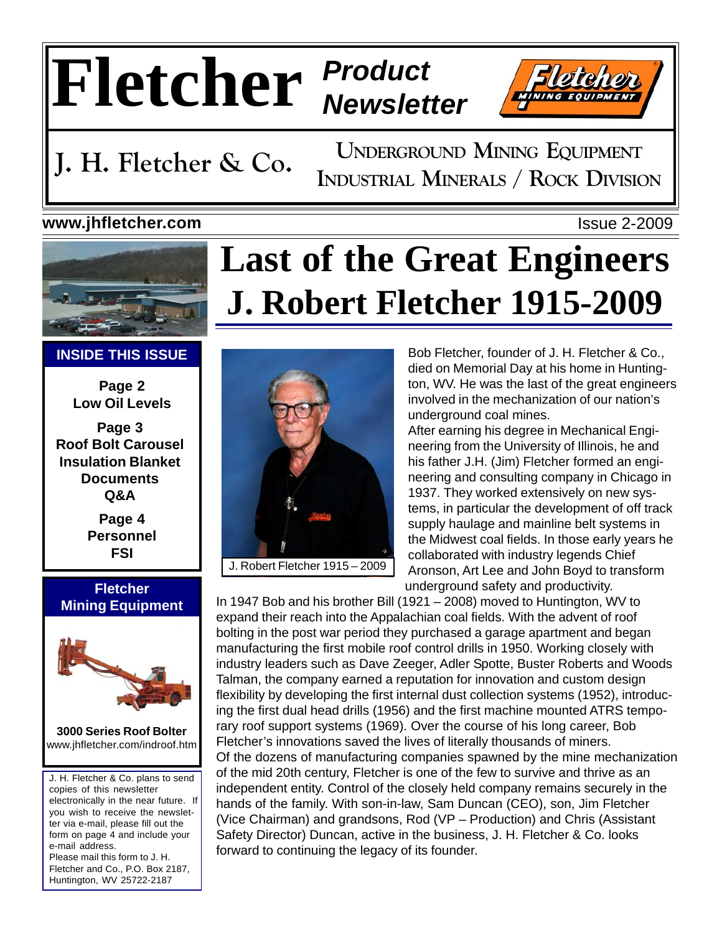# **Fletcher** *Product Newsletter*



**UNDERGROUND MINING EQUIPMENT J. H. Fletcher & Co.** INDUSTRIAL MINERALS / ROCK DIVISION

**Last of the Great Engineers**

**J. Robert Fletcher 1915-2009**

## **www.jhfletcher.com** Issue 2-2009





### **INSIDE THIS ISSUE**

**Page 2 Low Oil Levels**

**Page 3 Roof Bolt Carousel Insulation Blanket Documents Q&A**

> **Page 4 Personnel FSI**

### **Fletcher Mining Equipment**



**3000 Series Roof Bolter** www.jhfletcher.com/indroof.htm

J. H. Fletcher & Co. plans to send copies of this newsletter electronically in the near future. If you wish to receive the newsletter via e-mail, please fill out the form on page 4 and include your e-mail address. Please mail this form to J. H. Fletcher and Co., P.O. Box 2187, Huntington, WV 25722-2187



Bob Fletcher, founder of J. H. Fletcher & Co., died on Memorial Day at his home in Huntington, WV. He was the last of the great engineers involved in the mechanization of our nation's underground coal mines.

After earning his degree in Mechanical Engineering from the University of Illinois, he and his father J.H. (Jim) Fletcher formed an engineering and consulting company in Chicago in 1937. They worked extensively on new systems, in particular the development of off track supply haulage and mainline belt systems in the Midwest coal fields. In those early years he collaborated with industry legends Chief Aronson, Art Lee and John Boyd to transform underground safety and productivity.

In 1947 Bob and his brother Bill (1921 – 2008) moved to Huntington, WV to expand their reach into the Appalachian coal fields. With the advent of roof bolting in the post war period they purchased a garage apartment and began manufacturing the first mobile roof control drills in 1950. Working closely with industry leaders such as Dave Zeeger, Adler Spotte, Buster Roberts and Woods Talman, the company earned a reputation for innovation and custom design flexibility by developing the first internal dust collection systems (1952), introducing the first dual head drills (1956) and the first machine mounted ATRS temporary roof support systems (1969). Over the course of his long career, Bob Fletcher's innovations saved the lives of literally thousands of miners. Of the dozens of manufacturing companies spawned by the mine mechanization of the mid 20th century, Fletcher is one of the few to survive and thrive as an independent entity. Control of the closely held company remains securely in the hands of the family. With son-in-law, Sam Duncan (CEO), son, Jim Fletcher (Vice Chairman) and grandsons, Rod (VP – Production) and Chris (Assistant Safety Director) Duncan, active in the business, J. H. Fletcher & Co. looks forward to continuing the legacy of its founder.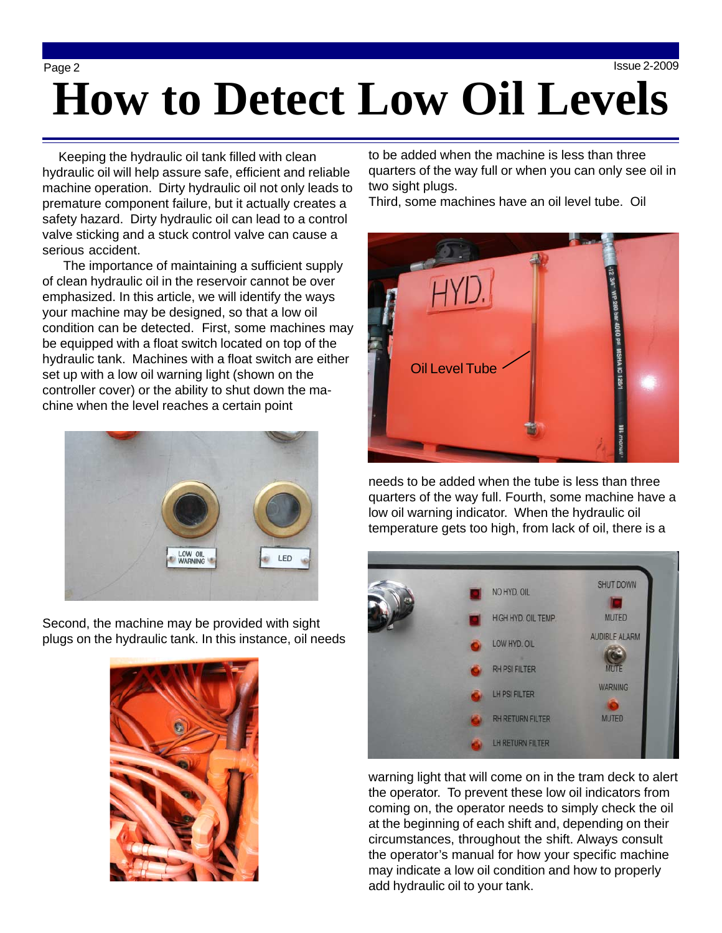## Page 2 Issue 2-2009 **How to Detect Low Oil Levels**

 Keeping the hydraulic oil tank filled with clean hydraulic oil will help assure safe, efficient and reliable machine operation. Dirty hydraulic oil not only leads to premature component failure, but it actually creates a safety hazard. Dirty hydraulic oil can lead to a control valve sticking and a stuck control valve can cause a serious accident.

 The importance of maintaining a sufficient supply of clean hydraulic oil in the reservoir cannot be over emphasized. In this article, we will identify the ways your machine may be designed, so that a low oil condition can be detected. First, some machines may be equipped with a float switch located on top of the hydraulic tank. Machines with a float switch are either set up with a low oil warning light (shown on the controller cover) or the ability to shut down the machine when the level reaches a certain point



Second, the machine may be provided with sight plugs on the hydraulic tank. In this instance, oil needs



to be added when the machine is less than three quarters of the way full or when you can only see oil in two sight plugs.

Third, some machines have an oil level tube. Oil



needs to be added when the tube is less than three quarters of the way full. Fourth, some machine have a low oil warning indicator. When the hydraulic oil temperature gets too high, from lack of oil, there is a



warning light that will come on in the tram deck to alert the operator. To prevent these low oil indicators from coming on, the operator needs to simply check the oil at the beginning of each shift and, depending on their circumstances, throughout the shift. Always consult the operator's manual for how your specific machine may indicate a low oil condition and how to properly add hydraulic oil to your tank.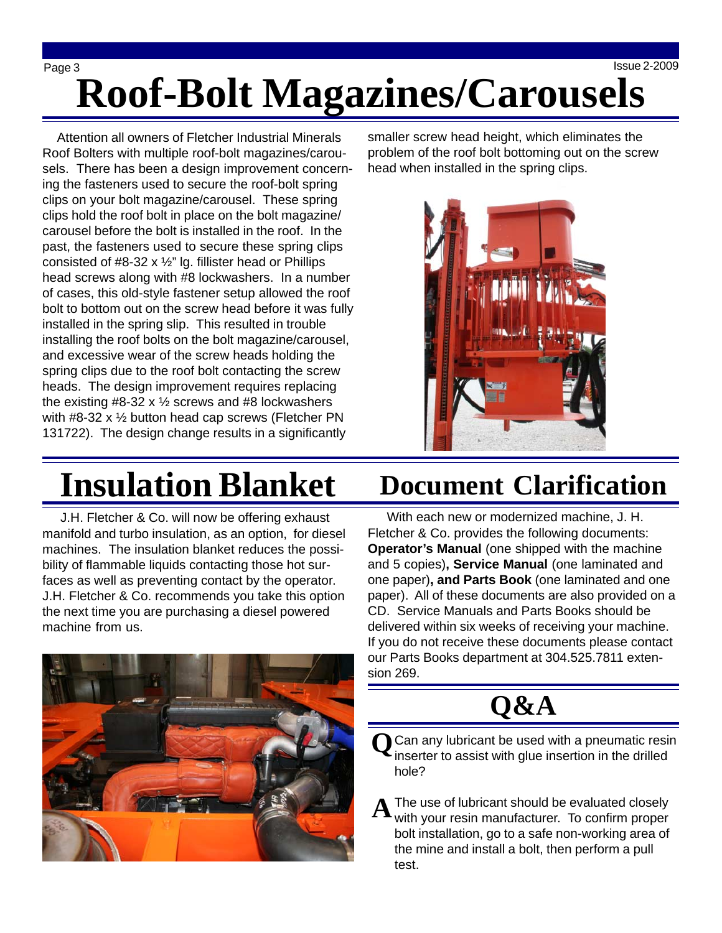Page 3 Issue 2-2009 **Roof-Bolt Magazines/Carousels**

 Attention all owners of Fletcher Industrial Minerals Roof Bolters with multiple roof-bolt magazines/carousels. There has been a design improvement concerning the fasteners used to secure the roof-bolt spring clips on your bolt magazine/carousel. These spring clips hold the roof bolt in place on the bolt magazine/ carousel before the bolt is installed in the roof. In the past, the fasteners used to secure these spring clips consisted of  $#8-32 \times \frac{1}{2}$ " lg. fillister head or Phillips head screws along with #8 lockwashers. In a number of cases, this old-style fastener setup allowed the roof bolt to bottom out on the screw head before it was fully installed in the spring slip. This resulted in trouble installing the roof bolts on the bolt magazine/carousel, and excessive wear of the screw heads holding the spring clips due to the roof bolt contacting the screw heads. The design improvement requires replacing the existing  $#8-32 \times \frac{1}{2}$  screws and  $#8$  lockwashers with #8-32 x ½ button head cap screws (Fletcher PN 131722). The design change results in a significantly

smaller screw head height, which eliminates the problem of the roof bolt bottoming out on the screw head when installed in the spring clips.



# **Insulation Blanket**

 J.H. Fletcher & Co. will now be offering exhaust manifold and turbo insulation, as an option, for diesel machines. The insulation blanket reduces the possibility of flammable liquids contacting those hot surfaces as well as preventing contact by the operator. J.H. Fletcher & Co. recommends you take this option the next time you are purchasing a diesel powered machine from us.



## **Document Clarification**

 With each new or modernized machine, J. H. Fletcher & Co. provides the following documents: **Operator's Manual** (one shipped with the machine and 5 copies)**, Service Manual** (one laminated and one paper)**, and Parts Book** (one laminated and one paper). All of these documents are also provided on a CD. Service Manuals and Parts Books should be delivered within six weeks of receiving your machine. If you do not receive these documents please contact our Parts Books department at 304.525.7811 extension 269.



**Q** Can any lubricant be used with a pneumatic resin<br>linearter to assist with glue insertion in the drilled inserter to assist with glue insertion in the drilled hole?

The use of lubricant should be evaluated closely with your resin manufacturer. To confirm proper bolt installation, go to a safe non-working area of the mine and install a bolt, then perform a pull test. **A**